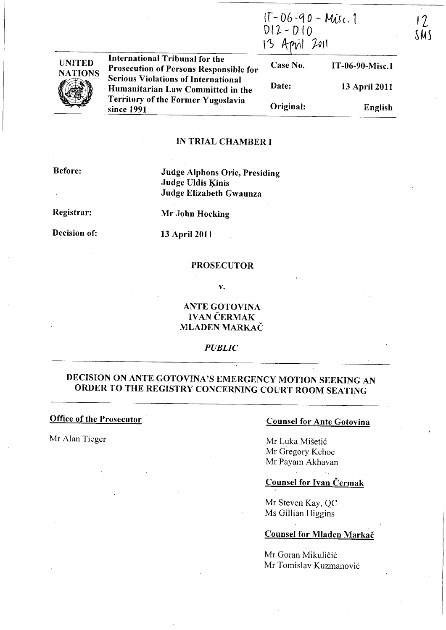(f - Ob -q *0* - /vttr (. 1  $DI2-D10$  $13$  April 2011

13 April 2011

English



**International Tribunal for the** Case No. IT -06-90-Misc.l Prosecution of Persons Responsible for **Serious Violations of International** Date: Humanitarian Law Committed in the **Territory of the Former Yugoslavia** Original: since 1991

## IN TRIAL CHAMBER I

Before:

Judge Alphons Orie, Presiding Judge Uldis Kinis Judge Elizabeth Gwaunza

Registrar:

Mr John Hocking

Decision of:

13 April 2011

### PROSECUTOR

v.

ANTE GOTOVINA IVAN ČERMAK MLADEN MARKAC

*PUBLIC* 

# DECISION ON ANTE GOTOYINA'S EMERGENCY MOTION SEEKING AN ORDER TO THE REGISTRY CONCERNING COURT ROOM SEATING

Office of the Prosecutor

Mr Alan Tieger

### Counsel for Ante Gotovina

Mr Luka Misetic Mr Gregory Kehoe Mr Payam Akhavan

## Counsel for Ivan Čermak

Mr Steven Kay, QC Ms Gillian Higgins

## Counsel for Mladen Markac

Mr Goran Mikuličić Mr Tomislav Kuzmanovic  $\frac{1}{2}$ SMS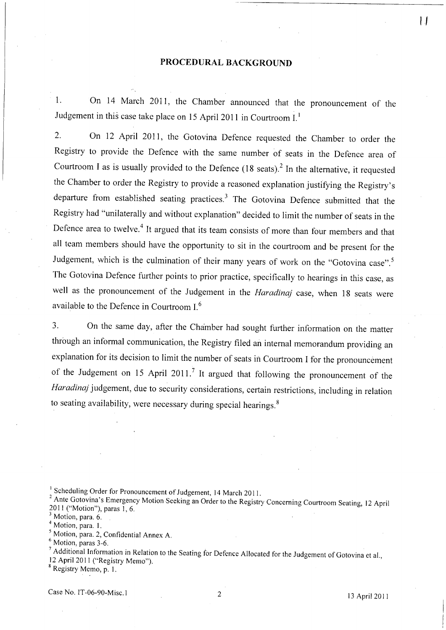#### PROCEDURAL BACKGROUND

1. On 14 March 2011, the Chamber announced that the pronouncement of the Judgement in this case take place on 15 April 2011 in Courtroom I.<sup>1</sup>

2. On 12 April 2011, the Gotovina Defence requested the Chamber to order the Registry to provide the Defence with the same number of seats in the Defence area of Courtroom I as is usually provided to the Defence  $(18 \text{ seats})^2$  In the alternative, it requested the Chamber to order the Registry to provide a reasoned explanation justifying the Registry's departure from established seating practices. $3$  The Gotovina Defence submitted that the Registry had "unilaterally and without explanation" decided to limit the number of seats in the Defence area to twelve.<sup>4</sup> It argued that its team consists of more than four members and that all team members should have the opportunity to sit in the courtroom and be present for the Judgement, which is the culmination of their many years of work on the "Gotovina case".<sup>5</sup> The Gotovina Defence further points to prior practice, specifically to hearings in this case, as well as the pronouncement of the Judgement in the *Haradinaj* case, when 18 seats were available to the Defence in Courtroom I. <sup>6</sup>

3. On the same day, after the Chamber had sought further information on the matter through an informal communication, the Registry filed an internal memorandum providing an explanation for its decision to limit the number of seats in Courtroom I for the pronouncement of the Judgement on 15 April 2011.<sup>7</sup> It argued that following the pronouncement of the Haradinaj judgement, due to security considerations, certain restrictions, including in relation to seating availability, were necessary during special hearings.<sup>8</sup>

<sup>1</sup> Scheduling Order for Pronouncement of Judgement, 14 March 2011.

<sup>2</sup> Ante Gotovina's Emergency Motion Seeking an Order to the Registry Concerning Courtroom Seating, 12 April 2011 ("Motion"), paras I, 6.

<sup>3</sup> Motion, para. 6.

<sup>4</sup> Motion, para. 1.

5 Motion, para. 2, Confidential Annex A.

<sup>6</sup> Motion, paras 3-6.

7 Additional Information in Relation to the Seating for Defence Allocated for the Judgement of Gotovina et al.,

12 April 2011 ("Registry Memo").

<sup>8</sup> Registry Memo, p. 1.

**11**